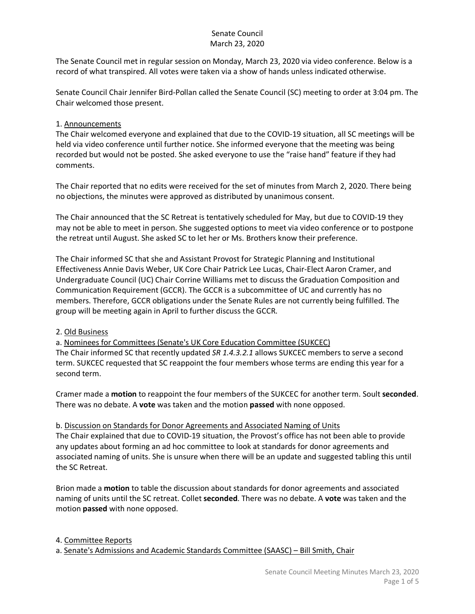The Senate Council met in regular session on Monday, March 23, 2020 via video conference. Below is a record of what transpired. All votes were taken via a show of hands unless indicated otherwise.

Senate Council Chair Jennifer Bird-Pollan called the Senate Council (SC) meeting to order at 3:04 pm. The Chair welcomed those present.

### 1. Announcements

The Chair welcomed everyone and explained that due to the COVID-19 situation, all SC meetings will be held via video conference until further notice. She informed everyone that the meeting was being recorded but would not be posted. She asked everyone to use the "raise hand" feature if they had comments.

The Chair reported that no edits were received for the set of minutes from March 2, 2020. There being no objections, the minutes were approved as distributed by unanimous consent.

The Chair announced that the SC Retreat is tentatively scheduled for May, but due to COVID-19 they may not be able to meet in person. She suggested options to meet via video conference or to postpone the retreat until August. She asked SC to let her or Ms. Brothers know their preference.

The Chair informed SC that she and Assistant Provost for Strategic Planning and Institutional Effectiveness Annie Davis Weber, UK Core Chair Patrick Lee Lucas, Chair-Elect Aaron Cramer, and Undergraduate Council (UC) Chair Corrine Williams met to discuss the Graduation Composition and Communication Requirement (GCCR). The GCCR is a subcommittee of UC and currently has no members. Therefore, GCCR obligations under the Senate Rules are not currently being fulfilled. The group will be meeting again in April to further discuss the GCCR.

## 2. Old Business

a. Nominees for Committees (Senate's UK Core Education Committee (SUKCEC) The Chair informed SC that recently updated *SR 1.4.3.2.1* allows SUKCEC members to serve a second term. SUKCEC requested that SC reappoint the four members whose terms are ending this year for a second term.

Cramer made a **motion** to reappoint the four members of the SUKCEC for another term. Soult **seconded**. There was no debate. A **vote** was taken and the motion **passed** with none opposed.

#### b. Discussion on Standards for Donor Agreements and Associated Naming of Units

The Chair explained that due to COVID-19 situation, the Provost's office has not been able to provide any updates about forming an ad hoc committee to look at standards for donor agreements and associated naming of units. She is unsure when there will be an update and suggested tabling this until the SC Retreat.

Brion made a **motion** to table the discussion about standards for donor agreements and associated naming of units until the SC retreat. Collet **seconded**. There was no debate. A **vote** was taken and the motion **passed** with none opposed.

4. Committee Reports

a. Senate's Admissions and Academic Standards Committee (SAASC) – Bill Smith, Chair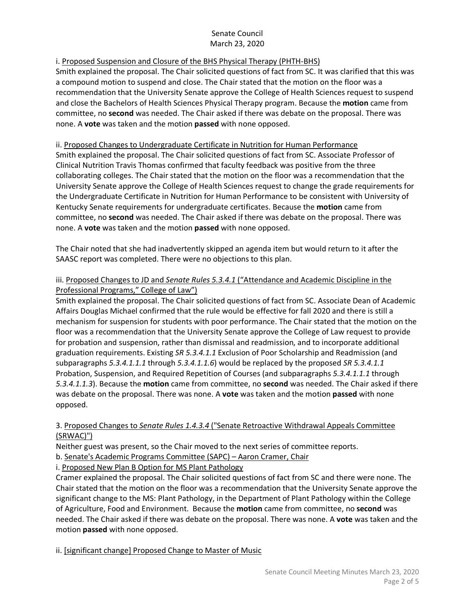# i. Proposed Suspension and Closure of the BHS Physical Therapy (PHTH-BHS)

Smith explained the proposal. The Chair solicited questions of fact from SC. It was clarified that this was a compound motion to suspend and close. The Chair stated that the motion on the floor was a recommendation that the University Senate approve the College of Health Sciences request to suspend and close the Bachelors of Health Sciences Physical Therapy program. Because the **motion** came from committee, no **second** was needed. The Chair asked if there was debate on the proposal. There was none. A **vote** was taken and the motion **passed** with none opposed.

## ii. Proposed Changes to Undergraduate Certificate in Nutrition for Human Performance

Smith explained the proposal. The Chair solicited questions of fact from SC. Associate Professor of Clinical Nutrition Travis Thomas confirmed that faculty feedback was positive from the three collaborating colleges. The Chair stated that the motion on the floor was a recommendation that the University Senate approve the College of Health Sciences request to change the grade requirements for the Undergraduate Certificate in Nutrition for Human Performance to be consistent with University of Kentucky Senate requirements for undergraduate certificates. Because the **motion** came from committee, no **second** was needed. The Chair asked if there was debate on the proposal. There was none. A **vote** was taken and the motion **passed** with none opposed.

The Chair noted that she had inadvertently skipped an agenda item but would return to it after the SAASC report was completed. There were no objections to this plan.

## iii. Proposed Changes to JD and *Senate Rules 5.3.4.1* ("Attendance and Academic Discipline in the Professional Programs," College of Law")

Smith explained the proposal. The Chair solicited questions of fact from SC. Associate Dean of Academic Affairs Douglas Michael confirmed that the rule would be effective for fall 2020 and there is still a mechanism for suspension for students with poor performance. The Chair stated that the motion on the floor was a recommendation that the University Senate approve the College of Law request to provide for probation and suspension, rather than dismissal and readmission, and to incorporate additional graduation requirements. Existing *SR 5.3.4.1.1* Exclusion of Poor Scholarship and Readmission (and subparagraphs *5.3.4.1.1.1* through *5.3.4.1.1.6*) would be replaced by the proposed *SR 5.3.4.1.1* Probation, Suspension, and Required Repetition of Courses (and subparagraphs *5.3.4.1.1.1* through *5.3.4.1.1.3*). Because the **motion** came from committee, no **second** was needed. The Chair asked if there was debate on the proposal. There was none. A **vote** was taken and the motion **passed** with none opposed.

### 3. Proposed Changes to *Senate Rules 1.4.3.4* ("Senate Retroactive Withdrawal Appeals Committee (SRWAC)")

Neither guest was present, so the Chair moved to the next series of committee reports.

b. Senate's Academic Programs Committee (SAPC) – Aaron Cramer, Chair

i. Proposed New Plan B Option for MS Plant Pathology

Cramer explained the proposal. The Chair solicited questions of fact from SC and there were none. The Chair stated that the motion on the floor was a recommendation that the University Senate approve the significant change to the MS: Plant Pathology, in the Department of Plant Pathology within the College of Agriculture, Food and Environment. Because the **motion** came from committee, no **second** was needed. The Chair asked if there was debate on the proposal. There was none. A **vote** was taken and the motion **passed** with none opposed.

ii. [significant change] Proposed Change to Master of Music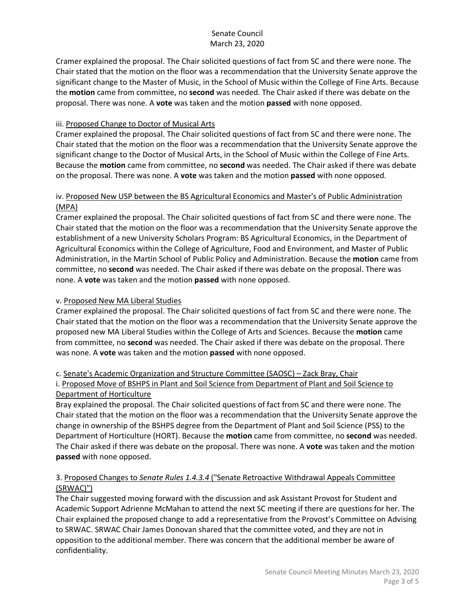Cramer explained the proposal. The Chair solicited questions of fact from SC and there were none. The Chair stated that the motion on the floor was a recommendation that the University Senate approve the significant change to the Master of Music, in the School of Music within the College of Fine Arts. Because the **motion** came from committee, no **second** was needed. The Chair asked if there was debate on the proposal. There was none. A **vote** was taken and the motion **passed** with none opposed.

## iii. Proposed Change to Doctor of Musical Arts

Cramer explained the proposal. The Chair solicited questions of fact from SC and there were none. The Chair stated that the motion on the floor was a recommendation that the University Senate approve the significant change to the Doctor of Musical Arts, in the School of Music within the College of Fine Arts. Because the **motion** came from committee, no **second** was needed. The Chair asked if there was debate on the proposal. There was none. A **vote** was taken and the motion **passed** with none opposed.

### iv. Proposed New USP between the BS Agricultural Economics and Master's of Public Administration (MPA)

Cramer explained the proposal. The Chair solicited questions of fact from SC and there were none. The Chair stated that the motion on the floor was a recommendation that the University Senate approve the establishment of a new University Scholars Program: BS Agricultural Economics, in the Department of Agricultural Economics within the College of Agriculture, Food and Environment, and Master of Public Administration, in the Martin School of Public Policy and Administration. Because the **motion** came from committee, no **second** was needed. The Chair asked if there was debate on the proposal. There was none. A **vote** was taken and the motion **passed** with none opposed.

## v. Proposed New MA Liberal Studies

Cramer explained the proposal. The Chair solicited questions of fact from SC and there were none. The Chair stated that the motion on the floor was a recommendation that the University Senate approve the proposed new MA Liberal Studies within the College of Arts and Sciences. Because the **motion** came from committee, no **second** was needed. The Chair asked if there was debate on the proposal. There was none. A **vote** was taken and the motion **passed** with none opposed.

#### c. Senate's Academic Organization and Structure Committee (SAOSC) – Zack Bray, Chair i. Proposed Move of BSHPS in Plant and Soil Science from Department of Plant and Soil Science to Department of Horticulture

Bray explained the proposal. The Chair solicited questions of fact from SC and there were none. The Chair stated that the motion on the floor was a recommendation that the University Senate approve the change in ownership of the BSHPS degree from the Department of Plant and Soil Science (PSS) to the Department of Horticulture (HORT). Because the **motion** came from committee, no **second** was needed. The Chair asked if there was debate on the proposal. There was none. A **vote** was taken and the motion **passed** with none opposed.

## 3. Proposed Changes to *Senate Rules 1.4.3.4* ("Senate Retroactive Withdrawal Appeals Committee (SRWAC)")

The Chair suggested moving forward with the discussion and ask Assistant Provost for Student and Academic Support Adrienne McMahan to attend the next SC meeting if there are questions for her. The Chair explained the proposed change to add a representative from the Provost's Committee on Advising to SRWAC. SRWAC Chair James Donovan shared that the committee voted, and they are not in opposition to the additional member. There was concern that the additional member be aware of confidentiality.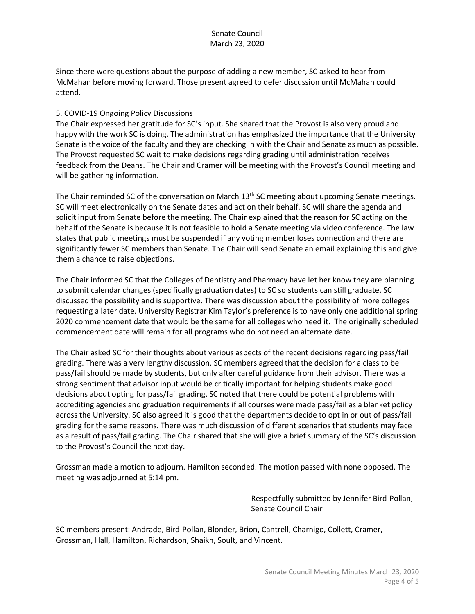Since there were questions about the purpose of adding a new member, SC asked to hear from McMahan before moving forward. Those present agreed to defer discussion until McMahan could attend.

#### 5. COVID-19 Ongoing Policy Discussions

The Chair expressed her gratitude for SC's input. She shared that the Provost is also very proud and happy with the work SC is doing. The administration has emphasized the importance that the University Senate is the voice of the faculty and they are checking in with the Chair and Senate as much as possible. The Provost requested SC wait to make decisions regarding grading until administration receives feedback from the Deans. The Chair and Cramer will be meeting with the Provost's Council meeting and will be gathering information.

The Chair reminded SC of the conversation on March 13<sup>th</sup> SC meeting about upcoming Senate meetings. SC will meet electronically on the Senate dates and act on their behalf. SC will share the agenda and solicit input from Senate before the meeting. The Chair explained that the reason for SC acting on the behalf of the Senate is because it is not feasible to hold a Senate meeting via video conference. The law states that public meetings must be suspended if any voting member loses connection and there are significantly fewer SC members than Senate. The Chair will send Senate an email explaining this and give them a chance to raise objections.

The Chair informed SC that the Colleges of Dentistry and Pharmacy have let her know they are planning to submit calendar changes (specifically graduation dates) to SC so students can still graduate. SC discussed the possibility and is supportive. There was discussion about the possibility of more colleges requesting a later date. University Registrar Kim Taylor's preference is to have only one additional spring 2020 commencement date that would be the same for all colleges who need it. The originally scheduled commencement date will remain for all programs who do not need an alternate date.

The Chair asked SC for their thoughts about various aspects of the recent decisions regarding pass/fail grading. There was a very lengthy discussion. SC members agreed that the decision for a class to be pass/fail should be made by students, but only after careful guidance from their advisor. There was a strong sentiment that advisor input would be critically important for helping students make good decisions about opting for pass/fail grading. SC noted that there could be potential problems with accrediting agencies and graduation requirements if all courses were made pass/fail as a blanket policy across the University. SC also agreed it is good that the departments decide to opt in or out of pass/fail grading for the same reasons. There was much discussion of different scenarios that students may face as a result of pass/fail grading. The Chair shared that she will give a brief summary of the SC's discussion to the Provost's Council the next day.

Grossman made a motion to adjourn. Hamilton seconded. The motion passed with none opposed. The meeting was adjourned at 5:14 pm.

> Respectfully submitted by Jennifer Bird-Pollan, Senate Council Chair

SC members present: Andrade, Bird-Pollan, Blonder, Brion, Cantrell, Charnigo, Collett, Cramer, Grossman, Hall, Hamilton, Richardson, Shaikh, Soult, and Vincent.